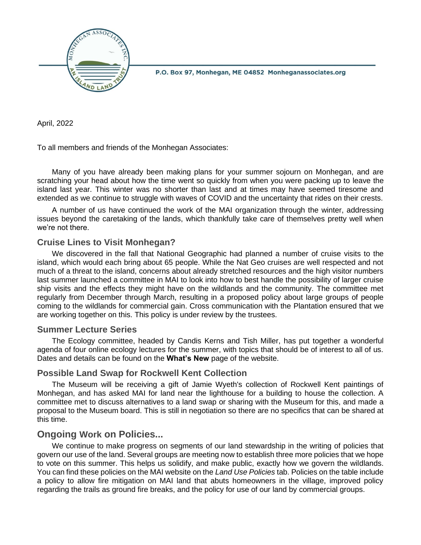

P.O. Box 97, Monhegan, ME 04852 Monheganassociates.org

April, 2022

To all members and friends of the Monhegan Associates:

Many of you have already been making plans for your summer sojourn on Monhegan, and are scratching your head about how the time went so quickly from when you were packing up to leave the island last year. This winter was no shorter than last and at times may have seemed tiresome and extended as we continue to struggle with waves of COVID and the uncertainty that rides on their crests.

A number of us have continued the work of the MAI organization through the winter, addressing issues beyond the caretaking of the lands, which thankfully take care of themselves pretty well when we're not there.

## **Cruise Lines to Visit Monhegan?**

We discovered in the fall that National Geographic had planned a number of cruise visits to the island, which would each bring about 65 people. While the Nat Geo cruises are well respected and not much of a threat to the island, concerns about already stretched resources and the high visitor numbers last summer launched a committee in MAI to look into how to best handle the possibility of larger cruise ship visits and the effects they might have on the wildlands and the community. The committee met regularly from December through March, resulting in a proposed policy about large groups of people coming to the wildlands for commercial gain. Cross communication with the Plantation ensured that we are working together on this. This policy is under review by the trustees.

### **Summer Lecture Series**

The Ecology committee, headed by Candis Kerns and Tish Miller, has put together a wonderful agenda of four online ecology lectures for the summer, with topics that should be of interest to all of us. Dates and details can be found on the **What's New** page of the website.

### **Possible Land Swap for Rockwell Kent Collection**

The Museum will be receiving a gift of Jamie Wyeth's collection of Rockwell Kent paintings of Monhegan, and has asked MAI for land near the lighthouse for a building to house the collection. A committee met to discuss alternatives to a land swap or sharing with the Museum for this, and made a proposal to the Museum board. This is still in negotiation so there are no specifics that can be shared at this time.

## **Ongoing Work on Policies...**

We continue to make progress on segments of our land stewardship in the writing of policies that govern our use of the land. Several groups are meeting now to establish three more policies that we hope to vote on this summer. This helps us solidify, and make public, exactly how we govern the wildlands. You can find these policies on the MAI website on the *Land Use Policies* tab. Policies on the table include a policy to allow fire mitigation on MAI land that abuts homeowners in the village, improved policy regarding the trails as ground fire breaks, and the policy for use of our land by commercial groups.